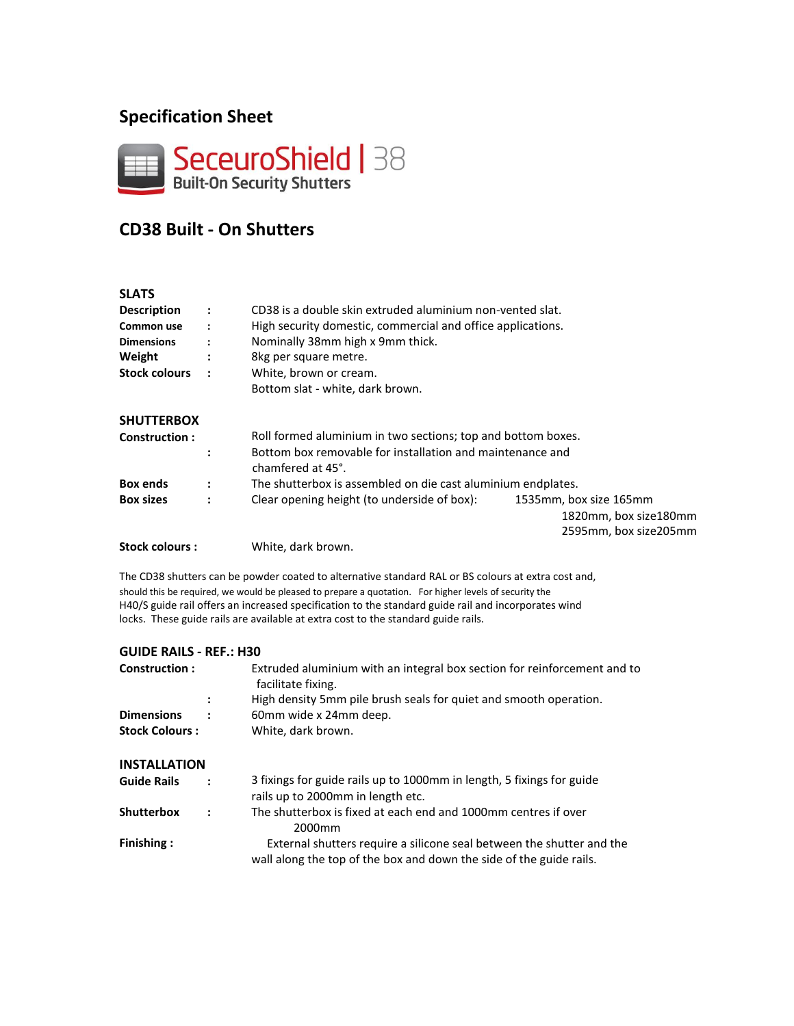# **Specification Sheet**



# **CD38 Built - On Shutters**

#### **SLATS Description : Common use : Dimensions :** CD38 is a double skin extruded aluminium non-vented slat. High security domestic, commercial and office applications. Nominally 38mm high x 9mm thick. **Weight :** 8kg per square metre. **Stock colours : SHUTTERBOX Construction : :** White, brown or cream. Bottom slat - white, dark brown. Roll formed aluminium in two sections; top and bottom boxes. Bottom box removable for installation and maintenance and chamfered at 45°. **Box ends :** The shutterbox is assembled on die cast aluminium endplates. **Box sizes :** Clear opening height (to underside of box): 1535mm, box size 165mm 1820mm, box size180mm 2595mm, box size205mm **Stock colours :** White, dark brown.

The CD38 shutters can be powder coated to alternative standard RAL or BS colours at extra cost and, should this be required, we would be pleased to prepare a quotation. For higher levels of security the H40/S guide rail offers an increased specification to the standard guide rail and incorporates wind locks. These guide rails are available at extra cost to the standard guide rails.

#### **GUIDE RAILS - REF.: H30 Construction : : Dimensions : Stock Colours : INSTALLATION Guide Rails : Shutterbox : Finishing :** Extruded aluminium with an integral box section for reinforcement and to facilitate fixing. High density 5mm pile brush seals for quiet and smooth operation. 60mm wide x 24mm deep. White, dark brown. 3 fixings for guide rails up to 1000mm in length, 5 fixings for guide rails up to 2000mm in length etc. The shutterbox is fixed at each end and 1000mm centres if over 2000mm External shutters require a silicone seal between the shutter and the wall along the top of the box and down the side of the guide rails.